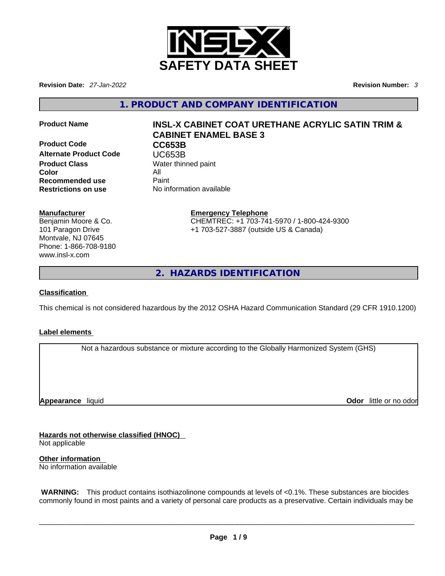

**Revision Date:** *27-Jan-2022* **Revision Number:** *3*

**1. PRODUCT AND COMPANY IDENTIFICATION** 

**Product Code CC653B Alternate Product Code CODE UC653B**<br> **Product Class** Water thin **Color** All **Recommended use** Paint<br> **Restrictions on use** No inf

# **Product Name INSL-X CABINET COAT URETHANE ACRYLIC SATIN TRIM & CABINET ENAMEL BASE 3**

**Water thinned paint Restrictions on use** No information available

# **Manufacturer**

Benjamin Moore & Co. 101 Paragon Drive Montvale, NJ 07645 Phone: 1-866-708-9180 www.insl-x.com

# **Emergency Telephone** CHEMTREC: +1 703-741-5970 / 1-800-424-9300

+1 703-527-3887 (outside US & Canada)

**2. HAZARDS IDENTIFICATION** 

# **Classification**

This chemical is not considered hazardous by the 2012 OSHA Hazard Communication Standard (29 CFR 1910.1200)

# **Label elements**

Not a hazardous substance or mixture according to the Globally Harmonized System (GHS)

**Appearance** liquid

**Odor** little or no odor

**Hazards not otherwise classified (HNOC)**  Not applicable

**Other information**  No information available

 **WARNING:** This product contains isothiazolinone compounds at levels of <0.1%. These substances are biocides commonly found in most paints and a variety of personal care products as a preservative. Certain individuals may be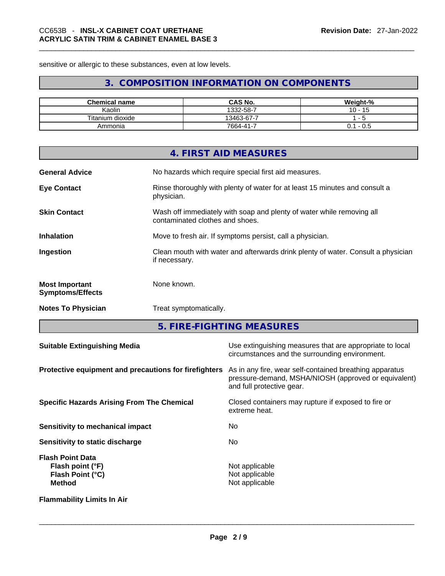sensitive or allergic to these substances, even at low levels.

# **3. COMPOSITION INFORMATION ON COMPONENTS**

| <b>Chemical name</b> | CAS No.         | Weight-%      |
|----------------------|-----------------|---------------|
| Kaolin               | 1332-58-7       | 10<br>15      |
| Titanium dioxide     | 13463-67-7      |               |
| Ammonia              | $7664 - 41 - 7$ | U. 1<br>- U.S |

|                                                  | 4. FIRST AID MEASURES                                                                                    |
|--------------------------------------------------|----------------------------------------------------------------------------------------------------------|
| <b>General Advice</b>                            | No hazards which require special first aid measures.                                                     |
| <b>Eye Contact</b>                               | Rinse thoroughly with plenty of water for at least 15 minutes and consult a<br>physician.                |
| <b>Skin Contact</b>                              | Wash off immediately with soap and plenty of water while removing all<br>contaminated clothes and shoes. |
| <b>Inhalation</b>                                | Move to fresh air. If symptoms persist, call a physician.                                                |
| Ingestion                                        | Clean mouth with water and afterwards drink plenty of water. Consult a physician<br>if necessary.        |
| <b>Most Important</b><br><b>Symptoms/Effects</b> | None known.                                                                                              |
| <b>Notes To Physician</b>                        | Treat symptomatically.                                                                                   |

**5. FIRE-FIGHTING MEASURES** 

| <b>Suitable Extinguishing Media</b>                                              | Use extinguishing measures that are appropriate to local<br>circumstances and the surrounding environment.                                   |
|----------------------------------------------------------------------------------|----------------------------------------------------------------------------------------------------------------------------------------------|
| Protective equipment and precautions for firefighters                            | As in any fire, wear self-contained breathing apparatus<br>pressure-demand, MSHA/NIOSH (approved or equivalent)<br>and full protective gear. |
| <b>Specific Hazards Arising From The Chemical</b>                                | Closed containers may rupture if exposed to fire or<br>extreme heat.                                                                         |
| Sensitivity to mechanical impact                                                 | No.                                                                                                                                          |
| Sensitivity to static discharge                                                  | No.                                                                                                                                          |
| <b>Flash Point Data</b><br>Flash point (°F)<br>Flash Point (°C)<br><b>Method</b> | Not applicable<br>Not applicable<br>Not applicable                                                                                           |
| <b>Flammability Limits In Air</b>                                                |                                                                                                                                              |
|                                                                                  |                                                                                                                                              |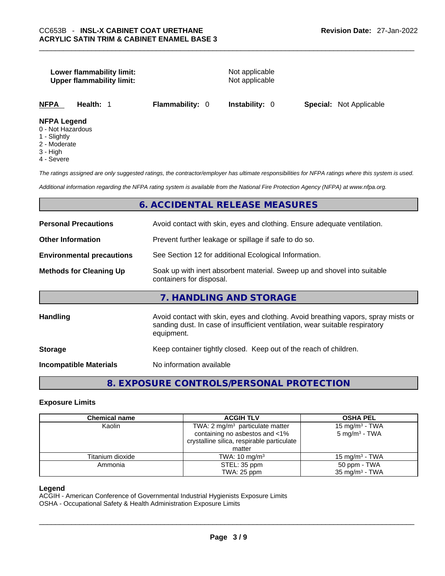## **Lower flammability limit:** Not applicable **Upper flammability limit:** Not applicable

**NFPA Health:** 1 **Flammability:** 0 **Instability:** 0 **Special:** Not Applicable

#### **NFPA Legend**

- 0 Not Hazardous
- 1 Slightly
- 2 Moderate
- 3 High
- 4 Severe

*The ratings assigned are only suggested ratings, the contractor/employer has ultimate responsibilities for NFPA ratings where this system is used.* 

*Additional information regarding the NFPA rating system is available from the National Fire Protection Agency (NFPA) at www.nfpa.org.* 

# **6. ACCIDENTAL RELEASE MEASURES**

| <b>Personal Precautions</b>      | Avoid contact with skin, eyes and clothing. Ensure adequate ventilation.                                                                                                         |
|----------------------------------|----------------------------------------------------------------------------------------------------------------------------------------------------------------------------------|
| <b>Other Information</b>         | Prevent further leakage or spillage if safe to do so.                                                                                                                            |
| <b>Environmental precautions</b> | See Section 12 for additional Ecological Information.                                                                                                                            |
| <b>Methods for Cleaning Up</b>   | Soak up with inert absorbent material. Sweep up and shovel into suitable<br>containers for disposal.                                                                             |
|                                  | 7. HANDLING AND STORAGE                                                                                                                                                          |
| <b>Handling</b>                  | Avoid contact with skin, eyes and clothing. Avoid breathing vapors, spray mists or<br>sanding dust. In case of insufficient ventilation, wear suitable respiratory<br>equipment. |
| <b>Storage</b>                   | Keep container tightly closed. Keep out of the reach of children.                                                                                                                |
| <b>Incompatible Materials</b>    | No information available                                                                                                                                                         |
|                                  |                                                                                                                                                                                  |

**8. EXPOSURE CONTROLS/PERSONAL PROTECTION** 

#### **Exposure Limits**

| <b>Chemical name</b> | <b>ACGIH TLV</b>                                                                                                           | <b>OSHA PEL</b>                                        |
|----------------------|----------------------------------------------------------------------------------------------------------------------------|--------------------------------------------------------|
| Kaolin               | TWA: $2 \text{ mg/m}^3$ particulate matter<br>containing no asbestos and <1%<br>crystalline silica, respirable particulate | 15 mg/m <sup>3</sup> - TWA<br>$5 \text{ mg/m}^3$ - TWA |
| Titanium dioxide     | matter<br>TWA: $10 \text{ mg/m}^3$                                                                                         | 15 mg/m $3$ - TWA                                      |
| Ammonia              | STEL: 35 ppm<br>TWA: 25 ppm                                                                                                | 50 ppm - TWA<br>$35 \text{ mg/m}^3$ - TWA              |

#### **Legend**

ACGIH - American Conference of Governmental Industrial Hygienists Exposure Limits

OSHA - Occupational Safety & Health Administration Exposure Limits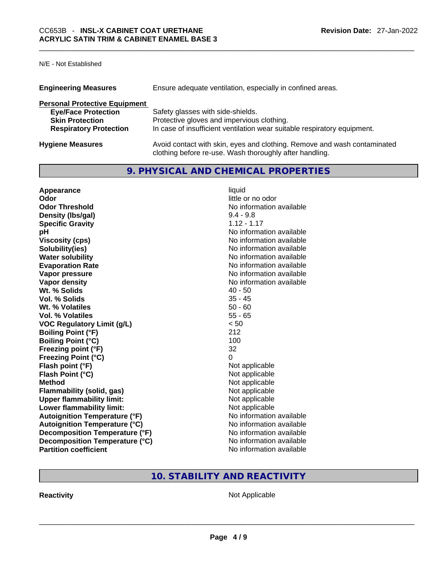# N/E - Not Established

| <b>Engineering Measures</b>          | Ensure adequate ventilation, especially in confined areas.                                                                          |
|--------------------------------------|-------------------------------------------------------------------------------------------------------------------------------------|
| <b>Personal Protective Equipment</b> |                                                                                                                                     |
| <b>Eye/Face Protection</b>           | Safety glasses with side-shields.                                                                                                   |
| <b>Skin Protection</b>               | Protective gloves and impervious clothing.                                                                                          |
| <b>Respiratory Protection</b>        | In case of insufficient ventilation wear suitable respiratory equipment.                                                            |
| <b>Hygiene Measures</b>              | Avoid contact with skin, eyes and clothing. Remove and wash contaminated<br>clothing before re-use. Wash thoroughly after handling. |

# **9. PHYSICAL AND CHEMICAL PROPERTIES**

| Appearance                           | liquid                   |
|--------------------------------------|--------------------------|
| Odor                                 | little or no odor        |
| <b>Odor Threshold</b>                | No information available |
| Density (Ibs/gal)                    | $9.4 - 9.8$              |
| <b>Specific Gravity</b>              | $1.12 - 1.17$            |
| рH                                   | No information available |
| <b>Viscosity (cps)</b>               | No information available |
| Solubility(ies)                      | No information available |
| <b>Water solubility</b>              | No information available |
| <b>Evaporation Rate</b>              | No information available |
| Vapor pressure                       | No information available |
| Vapor density                        | No information available |
| Wt. % Solids                         | $40 - 50$                |
| Vol. % Solids                        | $35 - 45$                |
| Wt. % Volatiles                      | $50 - 60$                |
| <b>Vol. % Volatiles</b>              | $55 - 65$                |
| <b>VOC Regulatory Limit (g/L)</b>    | < 50                     |
| <b>Boiling Point (°F)</b>            | 212                      |
| <b>Boiling Point (°C)</b>            | 100                      |
| Freezing point (°F)                  | 32                       |
| <b>Freezing Point (°C)</b>           | 0                        |
| Flash point (°F)                     | Not applicable           |
| Flash Point (°C)                     | Not applicable           |
| <b>Method</b>                        | Not applicable           |
| <b>Flammability (solid, gas)</b>     | Not applicable           |
| <b>Upper flammability limit:</b>     | Not applicable           |
| Lower flammability limit:            | Not applicable           |
| <b>Autoignition Temperature (°F)</b> | No information available |
| <b>Autoignition Temperature (°C)</b> | No information available |
| Decomposition Temperature (°F)       | No information available |
| Decomposition Temperature (°C)       | No information available |
| <b>Partition coefficient</b>         | No information available |

# **10. STABILITY AND REACTIVITY**

**Reactivity** Not Applicable \_\_\_\_\_\_\_\_\_\_\_\_\_\_\_\_\_\_\_\_\_\_\_\_\_\_\_\_\_\_\_\_\_\_\_\_\_\_\_\_\_\_\_\_\_\_\_\_\_\_\_\_\_\_\_\_\_\_\_\_\_\_\_\_\_\_\_\_\_\_\_\_\_\_\_\_\_\_\_\_\_\_\_\_\_\_\_\_\_\_\_\_\_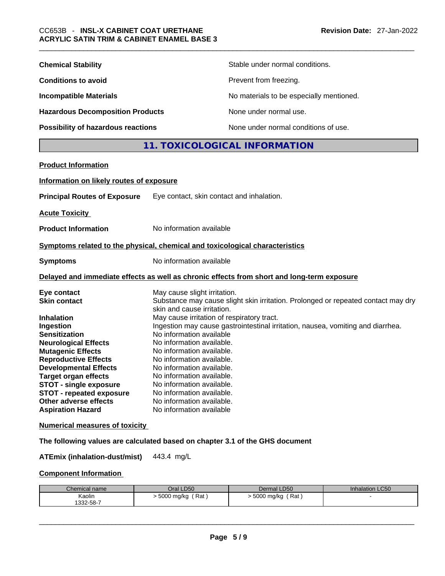| <b>Chemical Stability</b>                                                                                                                                                                                                                                                                                                                                                                                               |                                                                                                                                                                                                                                                                                                                                                                                                          | Stable under normal conditions.                                                                                                                                      |
|-------------------------------------------------------------------------------------------------------------------------------------------------------------------------------------------------------------------------------------------------------------------------------------------------------------------------------------------------------------------------------------------------------------------------|----------------------------------------------------------------------------------------------------------------------------------------------------------------------------------------------------------------------------------------------------------------------------------------------------------------------------------------------------------------------------------------------------------|----------------------------------------------------------------------------------------------------------------------------------------------------------------------|
| <b>Conditions to avoid</b>                                                                                                                                                                                                                                                                                                                                                                                              |                                                                                                                                                                                                                                                                                                                                                                                                          | Prevent from freezing.                                                                                                                                               |
| <b>Incompatible Materials</b>                                                                                                                                                                                                                                                                                                                                                                                           |                                                                                                                                                                                                                                                                                                                                                                                                          | No materials to be especially mentioned.                                                                                                                             |
| <b>Hazardous Decomposition Products</b>                                                                                                                                                                                                                                                                                                                                                                                 |                                                                                                                                                                                                                                                                                                                                                                                                          | None under normal use.                                                                                                                                               |
| <b>Possibility of hazardous reactions</b>                                                                                                                                                                                                                                                                                                                                                                               |                                                                                                                                                                                                                                                                                                                                                                                                          | None under normal conditions of use.                                                                                                                                 |
|                                                                                                                                                                                                                                                                                                                                                                                                                         |                                                                                                                                                                                                                                                                                                                                                                                                          | 11. TOXICOLOGICAL INFORMATION                                                                                                                                        |
| <b>Product Information</b>                                                                                                                                                                                                                                                                                                                                                                                              |                                                                                                                                                                                                                                                                                                                                                                                                          |                                                                                                                                                                      |
| Information on likely routes of exposure                                                                                                                                                                                                                                                                                                                                                                                |                                                                                                                                                                                                                                                                                                                                                                                                          |                                                                                                                                                                      |
| <b>Principal Routes of Exposure</b>                                                                                                                                                                                                                                                                                                                                                                                     | Eye contact, skin contact and inhalation.                                                                                                                                                                                                                                                                                                                                                                |                                                                                                                                                                      |
|                                                                                                                                                                                                                                                                                                                                                                                                                         |                                                                                                                                                                                                                                                                                                                                                                                                          |                                                                                                                                                                      |
| <b>Acute Toxicity</b>                                                                                                                                                                                                                                                                                                                                                                                                   |                                                                                                                                                                                                                                                                                                                                                                                                          |                                                                                                                                                                      |
| <b>Product Information</b>                                                                                                                                                                                                                                                                                                                                                                                              | No information available                                                                                                                                                                                                                                                                                                                                                                                 |                                                                                                                                                                      |
| Symptoms related to the physical, chemical and toxicological characteristics                                                                                                                                                                                                                                                                                                                                            |                                                                                                                                                                                                                                                                                                                                                                                                          |                                                                                                                                                                      |
| <b>Symptoms</b>                                                                                                                                                                                                                                                                                                                                                                                                         | No information available                                                                                                                                                                                                                                                                                                                                                                                 |                                                                                                                                                                      |
|                                                                                                                                                                                                                                                                                                                                                                                                                         |                                                                                                                                                                                                                                                                                                                                                                                                          | Delayed and immediate effects as well as chronic effects from short and long-term exposure                                                                           |
| Eye contact<br><b>Skin contact</b><br><b>Inhalation</b><br>Ingestion<br><b>Sensitization</b><br><b>Neurological Effects</b><br><b>Mutagenic Effects</b><br><b>Reproductive Effects</b><br><b>Developmental Effects</b><br><b>Target organ effects</b><br><b>STOT - single exposure</b><br><b>STOT - repeated exposure</b><br>Other adverse effects<br><b>Aspiration Hazard</b><br><b>Numerical measures of toxicity</b> | May cause slight irritation.<br>skin and cause irritation.<br>May cause irritation of respiratory tract.<br>No information available<br>No information available.<br>No information available.<br>No information available.<br>No information available.<br>No information available.<br>No information available.<br>No information available.<br>No information available.<br>No information available | Substance may cause slight skin irritation. Prolonged or repeated contact may dry<br>Ingestion may cause gastrointestinal irritation, nausea, vomiting and diarrhea. |
| The following values are calculated based on chapter 3.1 of the GHS document                                                                                                                                                                                                                                                                                                                                            |                                                                                                                                                                                                                                                                                                                                                                                                          |                                                                                                                                                                      |
| <b>ATEmix (inhalation-dust/mist)</b>                                                                                                                                                                                                                                                                                                                                                                                    | 443.4 mg/L                                                                                                                                                                                                                                                                                                                                                                                               |                                                                                                                                                                      |
| <b>Component Information</b>                                                                                                                                                                                                                                                                                                                                                                                            |                                                                                                                                                                                                                                                                                                                                                                                                          |                                                                                                                                                                      |

| Chemical name | Oral LD50         | Dermal LD50       | <b>Inhalation LC50</b> |
|---------------|-------------------|-------------------|------------------------|
| Kaolin        | Rat<br>5000 mg/kg | Rat<br>5000 mg/kg |                        |
| 1332-58-7     |                   |                   |                        |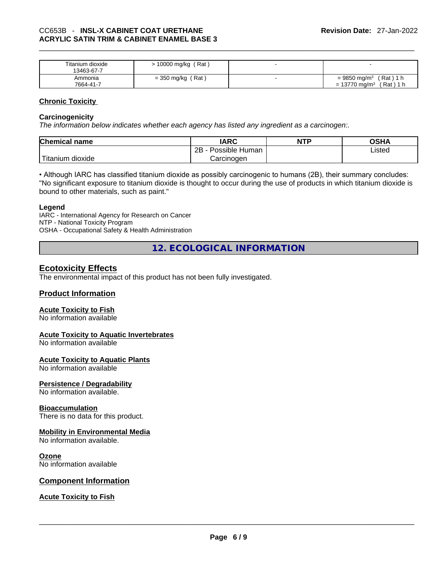| Titanium dioxide<br>13463-67-7 | Rat<br>10000 mg/kg  |                                            |
|--------------------------------|---------------------|--------------------------------------------|
| Ammonia                        | (Rat<br>= 350 mg/kg | $= 9850$ mg/m <sup>3</sup><br>Rat)<br>1 h  |
| 7664-41-7                      |                     | $(Rat)$ 1 h<br>$= 13770$ mg/m <sup>3</sup> |

## **Chronic Toxicity**

## **Carcinogenicity**

*The information below indicates whether each agency has listed any ingredient as a carcinogen:.* 

| <b>Chemical name</b>               | <b>IARC</b>          | <b>NTP</b> | OSHA   |
|------------------------------------|----------------------|------------|--------|
|                                    | 2B<br>Possible Human |            | Listed |
| <u>— на</u><br>nitanıum<br>dioxide | Carcinoɑen           |            |        |

• Although IARC has classified titanium dioxide as possibly carcinogenic to humans (2B), their summary concludes: "No significant exposure to titanium dioxide is thought to occur during the use of products in which titanium dioxide is bound to other materials, such as paint."

#### **Legend**

IARC - International Agency for Research on Cancer NTP - National Toxicity Program OSHA - Occupational Safety & Health Administration

**12. ECOLOGICAL INFORMATION** 

# **Ecotoxicity Effects**

The environmental impact of this product has not been fully investigated.

# **Product Information**

## **Acute Toxicity to Fish**

No information available

#### **Acute Toxicity to Aquatic Invertebrates**

No information available

# **Acute Toxicity to Aquatic Plants**

No information available

# **Persistence / Degradability**

No information available.

# **Bioaccumulation**

There is no data for this product.

# **Mobility in Environmental Media**

No information available.

#### **Ozone**

No information available

#### **Component Information**

# **Acute Toxicity to Fish**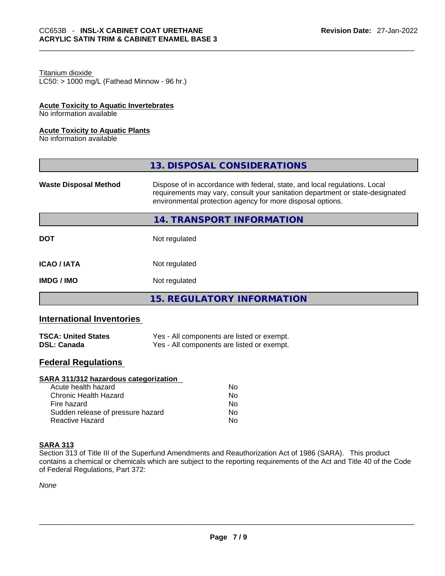#### Titanium dioxide

 $LC50:$  > 1000 mg/L (Fathead Minnow - 96 hr.)

#### **Acute Toxicity to Aquatic Invertebrates**

No information available

#### **Acute Toxicity to Aquatic Plants**

No information available

|                              | 13. DISPOSAL CONSIDERATIONS                                                                                                                                                                                               |
|------------------------------|---------------------------------------------------------------------------------------------------------------------------------------------------------------------------------------------------------------------------|
| <b>Waste Disposal Method</b> | Dispose of in accordance with federal, state, and local regulations. Local<br>requirements may vary, consult your sanitation department or state-designated<br>environmental protection agency for more disposal options. |
|                              | 14. TRANSPORT INFORMATION                                                                                                                                                                                                 |
| <b>DOT</b>                   | Not regulated                                                                                                                                                                                                             |
| <b>ICAO/IATA</b>             | Not regulated                                                                                                                                                                                                             |
| <b>IMDG/IMO</b>              | Not regulated                                                                                                                                                                                                             |
|                              | <b>15. REGULATORY INFORMATION</b>                                                                                                                                                                                         |

# **International Inventories**

| <b>TSCA: United States</b> | Yes - All components are listed or exempt. |
|----------------------------|--------------------------------------------|
| <b>DSL: Canada</b>         | Yes - All components are listed or exempt. |

# **Federal Regulations**

#### **SARA 311/312 hazardous categorization**

| Acute health hazard               | No. |  |
|-----------------------------------|-----|--|
| Chronic Health Hazard             | No. |  |
| Fire hazard                       | No  |  |
| Sudden release of pressure hazard | No. |  |
| Reactive Hazard                   | Nο  |  |

### **SARA 313**

Section 313 of Title III of the Superfund Amendments and Reauthorization Act of 1986 (SARA). This product contains a chemical or chemicals which are subject to the reporting requirements of the Act and Title 40 of the Code of Federal Regulations, Part 372:

*None*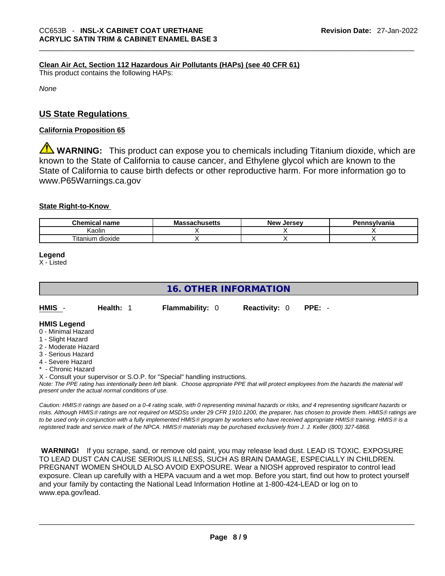## **Clean Air Act,Section 112 Hazardous Air Pollutants (HAPs) (see 40 CFR 61)**

This product contains the following HAPs:

*None*

# **US State Regulations**

#### **California Proposition 65**

**A WARNING:** This product can expose you to chemicals including Titanium dioxide, which are known to the State of California to cause cancer, and Ethylene glycol which are known to the State of California to cause birth defects or other reproductive harm. For more information go to www.P65Warnings.ca.gov

## **State Right-to-Know**

| <b>Chemical</b><br>name                   | :cachucatta<br>Mas<br>นเนจะแจ | New<br>. Jersev | <b>Pennsylvania</b> |
|-------------------------------------------|-------------------------------|-----------------|---------------------|
| Kaolin                                    |                               |                 |                     |
| $- \cdot$ .<br><br>! ıtanium<br>ı dioxide |                               |                 |                     |

**Legend**

X - Listed

# **16. OTHER INFORMATION**

| HMIS -<br>Health: 1 | <b>Flammability: 0</b> | <b>Reactivity: 0 PPE: -</b> |  |
|---------------------|------------------------|-----------------------------|--|
|---------------------|------------------------|-----------------------------|--|

#### **HMIS Legend**

- 0 Minimal Hazard
- 1 Slight Hazard
- 2 Moderate Hazard
- 3 Serious Hazard
- 4 Severe Hazard
- Chronic Hazard
- X Consult your supervisor or S.O.P. for "Special" handling instructions.

Note: The PPE rating has intentionally been left blank. Choose appropriate PPE that will protect employees from the hazards the material will *present under the actual normal conditions of use.* 

*Caution: HMISÒ ratings are based on a 0-4 rating scale, with 0 representing minimal hazards or risks, and 4 representing significant hazards or risks. Although HMISÒ ratings are not required on MSDSs under 29 CFR 1910.1200, the preparer, has chosen to provide them. HMISÒ ratings are to be used only in conjunction with a fully implemented HMISÒ program by workers who have received appropriate HMISÒ training. HMISÒ is a registered trade and service mark of the NPCA. HMISÒ materials may be purchased exclusively from J. J. Keller (800) 327-6868.* 

 **WARNING!** If you scrape, sand, or remove old paint, you may release lead dust. LEAD IS TOXIC. EXPOSURE TO LEAD DUST CAN CAUSE SERIOUS ILLNESS, SUCH AS BRAIN DAMAGE, ESPECIALLY IN CHILDREN. PREGNANT WOMEN SHOULD ALSO AVOID EXPOSURE.Wear a NIOSH approved respirator to control lead exposure. Clean up carefully with a HEPA vacuum and a wet mop. Before you start, find out how to protect yourself and your family by contacting the National Lead Information Hotline at 1-800-424-LEAD or log on to www.epa.gov/lead.